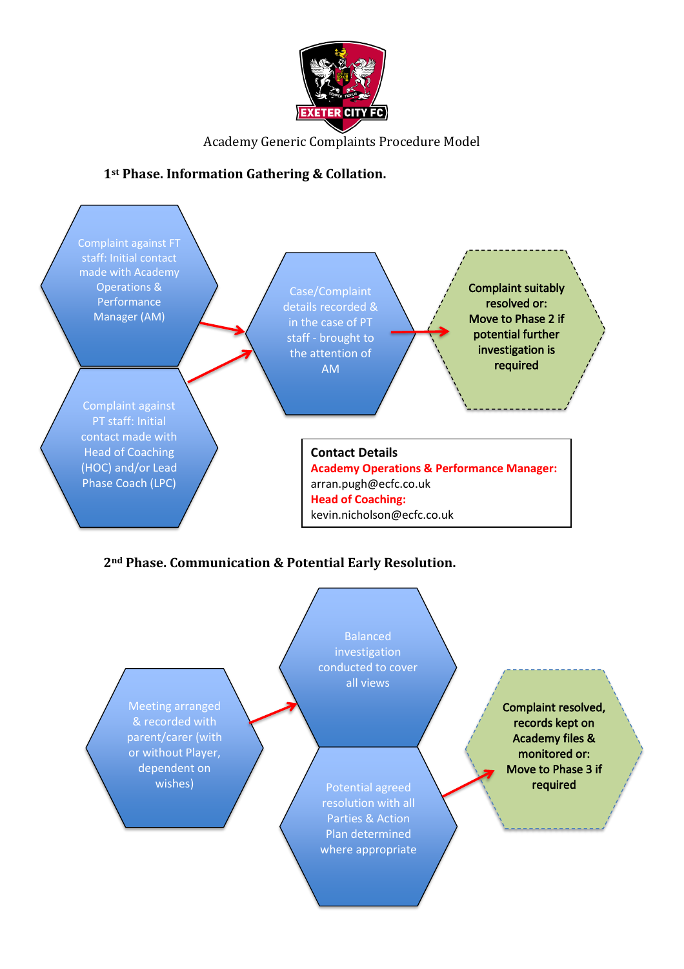

Academy Generic Complaints Procedure Model

## **1st Phase. Information Gathering & Collation.**